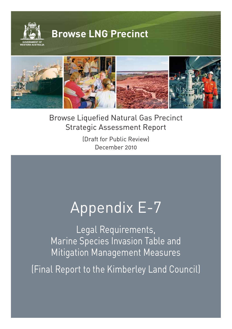



**©WOODSIDE**

(Draft for Public Review) December 2010

# Appendix E-7

Legal Requirements, Marine Species Invasion Table and Mitigation Management Measures

(Final Report to the Kimberley Land Council)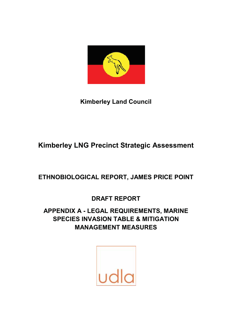

**Kimberley Land Council**

## **Kimberley LNG Precinct Strategic Assessment**

### **ETHNOBIOLOGICAL REPORT, JAMES PRICE POINT**

### **DRAFT REPORT**

### **APPENDIX A - LEGAL REQUIREMENTS, MARINE SPECIES INVASION TABLE & MITIGATION MANAGEMENT MEASURES**

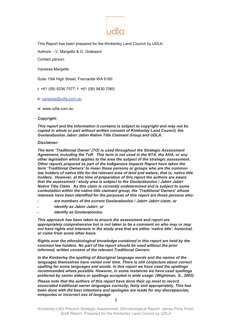

This Report has been prepared for the Kimberley Land Council by UDLA.

Authors – V. Margetts & G. Grabasch

Contact person:

Vanessa Margetts

Suite 1/64 High Street, Fremantle WA 6160

t: +61 (08) 9336 7577; f: +61 (08) 9430 7060;

e: vanessa@udla.com.au

w: www.udla.com.au

#### *Copyright:*

*This report and the information it contains is subject to copyright and may not be copied in whole or part without written consent of Kimberley Land Council, the Goolarabooloo Jabirr Jabirr Native Title Claimant Group and UDLA.*

#### *Disclaimer:*

*The term 'Traditional Owner' (TO) is used throughout the Strategic Assessment Agreement, including the ToR. This term is not used in the NTA, the AHA, or any other legislation which applies to the area the subject of the strategic assessment. Other reports prepared as part of the Indigenous Impacts Report have taken the term 'Traditional Owners' to mean those persons or groups who are the common law holders of native title for the relevant area of land and waters; that is, native title holders. However, at the time of preparation of this report the authors are aware that the assessment / study area is subject to the Goolarabooloo / Jabirr Jabirr Native Title Claim. As this claim is currently undetermined and is subject to some contestation within the native title claimant group, the 'Traditional Owners' whose interests have been identified for the purposes of this report are those persons who:*

- *are members of the current Goolarabooloo / Jabirr Jabirr claim; or*
- *identify as Jabirr Jabirr; or*
- *identify as Goolarabooloo.*

*This approach has been taken to ensure the assessment and report are appropriately comprehensive but is not taken to be a comment on who may or may not have rights and interests in the study area that are either 'native title', historical, or come from some other basis.*

*Rights over the ethnobiological knowledge contained in this report are held by the common law holders. No part of the report should be used without the prior informed, written consent of the relevant Traditional Owners.*

*In the Kimberley the spelling of Aboriginal language words and the names of the languages themselves have varied over time. There is still conjecture about correct spelling for some languages and words. In this report we have used the spellings recommended where possible. However, in some instances we have used spellings preferred by senior elders or spellings accepted in wide usage. (Wightman, G., 2003)*

*Please note that the authors of this report have done their up most to record associated traditional owner languages correctly, fairly and appropriately. This has been done with the best intentions and apologies are made for any discrepancies, misquotes or incorrect use of language*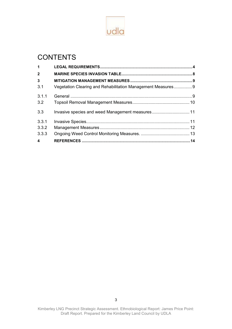

### **CONTENTS**

| $\mathbf 1$    |                                                              |  |
|----------------|--------------------------------------------------------------|--|
| $\mathbf{2}$   |                                                              |  |
| $\mathbf{3}$   |                                                              |  |
| 3.1            | Vegetation Clearing and Rehabilitation Management Measures 9 |  |
| 3.1.1          |                                                              |  |
| 3.2            |                                                              |  |
| 3.3            |                                                              |  |
| 3.3.1          |                                                              |  |
| 3.3.2          |                                                              |  |
| 3.3.3          |                                                              |  |
| $\overline{4}$ |                                                              |  |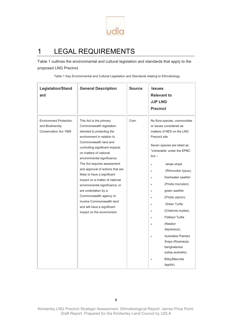

### 1 LEGAL REQUIREMENTS

Table 1 outlines the environmental and cultural legislation and standards that apply to the proposed LNG Precinct.

| <b>Legislation/Stand</b><br>ard                                                   | <b>General Description</b>                                                                                                                                                                                                                                                                                                                                                                                                                                                                                                                             | Source | <b>Issues</b><br><b>Relevant to</b><br><b>JJP LNG</b><br><b>Precinct</b>                                                                                                                                                                                                                                                                                                                                                                                                                                                               |
|-----------------------------------------------------------------------------------|--------------------------------------------------------------------------------------------------------------------------------------------------------------------------------------------------------------------------------------------------------------------------------------------------------------------------------------------------------------------------------------------------------------------------------------------------------------------------------------------------------------------------------------------------------|--------|----------------------------------------------------------------------------------------------------------------------------------------------------------------------------------------------------------------------------------------------------------------------------------------------------------------------------------------------------------------------------------------------------------------------------------------------------------------------------------------------------------------------------------------|
| <b>Environment Protection</b><br>and Biodiversity<br><b>Conservation Act 1999</b> | This Act is the primary<br>Commonwealth legislation<br>directed to protecting the<br>environment in relation to<br>Commonwealth land and<br>controlling significant impacts<br>on matters of national<br>environmental significance.<br>The Act requires assessment<br>and approval of actions that are<br>likely to have a significant<br>impact on a matter of national<br>environmental significance, or<br>are undertaken by a<br>Commonwealth agency or<br>involve Commonwealth land<br>and will have a significant<br>impact on the environment. | Com.   | No flora species, communities<br>or issues considered as<br>matters of NES on the LNG<br>Precinct site.<br>Seven species are listed as<br>'Vulnerable' under the EPBC<br>$Act -$<br>whale shark<br>(Rhincodon typus),<br>freshwater sawfish<br>(Pristis microdon)<br>green sawfish<br>(Pristis zijsron),<br><b>Green Turtle</b><br>(Chelonia mydas),<br><b>Flatbacl Turtle</b><br>(Natator<br>depressus),<br><b>Australian Painted</b><br>Snipe (Rostratula<br>benghalensis<br>subsp.australis),<br><b>Bilby</b> (Macrotis<br>lagotis) |

Table 1 Key Environmental and Cultural Legislation and Standards relating to Ethnobiology*.*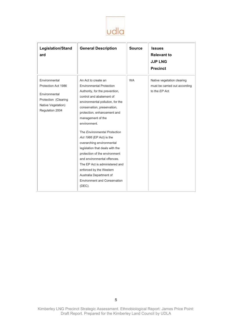

| <b>Legislation/Stand</b><br>ard                                                                                        | <b>General Description</b>                                                                                                                                                                                                                                                                                                                                                                                                                                                                                                                                                                       | <b>Source</b> | <b>Issues</b><br><b>Relevant to</b><br><b>JJP LNG</b><br><b>Precinct</b>      |
|------------------------------------------------------------------------------------------------------------------------|--------------------------------------------------------------------------------------------------------------------------------------------------------------------------------------------------------------------------------------------------------------------------------------------------------------------------------------------------------------------------------------------------------------------------------------------------------------------------------------------------------------------------------------------------------------------------------------------------|---------------|-------------------------------------------------------------------------------|
| Environmental<br>Protection Act 1986<br>Environmental<br>Protection (Clearing<br>Native Vegetation)<br>Regulation 2004 | An Act to create an<br><b>Environmental Protection</b><br>Authority, for the prevention,<br>control and abatement of<br>environmental pollution, for the<br>conservation, preservation,<br>protection, enhancement and<br>management of the<br>environment.<br>The Environmental Protection<br>Act 1986 (EP Act) is the<br>overarching environmental<br>legislation that deals with the<br>protection of the environment<br>and environmental offences.<br>The EP Act is administered and<br>enforced by the Western<br>Australia Department of<br><b>Environment and Conservation</b><br>(DEC). | <b>WA</b>     | Native vegetation clearing<br>must be carried out according<br>to the EP Act. |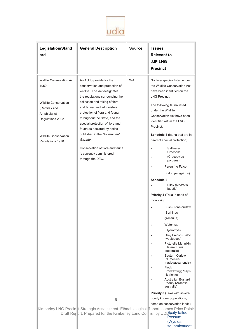

| <b>Legislation/Stand</b><br>ard                                                                                                                                           | <b>General Description</b>                                                                                                                                                                                                                                                                                                                                                                                                                                        | <b>Source</b> | <b>Issues</b><br><b>Relevant to</b><br><b>JJP LNG</b><br><b>Precinct</b>                                                                                                                                                                                                                                                                                                                                                                                                 |
|---------------------------------------------------------------------------------------------------------------------------------------------------------------------------|-------------------------------------------------------------------------------------------------------------------------------------------------------------------------------------------------------------------------------------------------------------------------------------------------------------------------------------------------------------------------------------------------------------------------------------------------------------------|---------------|--------------------------------------------------------------------------------------------------------------------------------------------------------------------------------------------------------------------------------------------------------------------------------------------------------------------------------------------------------------------------------------------------------------------------------------------------------------------------|
| wildlife Conservation Act<br>1950<br><b>Wildlife Conservation</b><br>(Reptiles and<br>Amphibians)<br>Regulations 2002<br><b>Wildlife Conservation</b><br>Regulations 1970 | An Act to provide for the<br>conservation and protection of<br>wildlife. The Act designates<br>the regulations surrounding the<br>collection and taking of flora<br>and fauna, and administers<br>protection of flora and fauna<br>throughout the State, and the<br>special protection of flora and<br>fauna as declared by notice<br>published in the Government<br>Gazette.<br>Conservation of flora and fauna<br>is currently administered<br>through the DEC. | <b>WA</b>     | No flora species listed under<br>the Wildlife Conservation Act<br>have been identified on the<br><b>LNG Precinct.</b><br>The following fauna listed<br>under the Wildlife<br>Conservation Act have been<br>identified within the LNG<br>Precinct.<br>Schedule 4 (fauna that are in<br>need of special protection)<br>Saltwater<br>$\bullet$<br>Crocodile<br>(Crocodylus<br>porosus)                                                                                      |
|                                                                                                                                                                           |                                                                                                                                                                                                                                                                                                                                                                                                                                                                   |               | Peregrine Falcon<br>(Falco peregrinus).<br><b>Schedule 2</b><br><b>Bilby (Macrotis</b><br>lagotis)<br>Priority 4 (Taxa in need of<br>monitoring<br><b>Bush Stone-curlew</b><br>(Burhinus<br>grallarius)<br>Water-rat<br>(Hydromys)<br>Grey Falcon (Falco<br>hypoleucos)<br>Pictorella Mannikin<br>(Heteromunia<br>pectoralis)<br><b>Eastern Curlew</b><br>(Numenius<br>madagascariensis)<br><b>Flock</b><br>Bronzewing(Phaps<br>histrionic)<br><b>Australian Bustard</b> |
|                                                                                                                                                                           | 6<br>Kimberley LNG Precinct Strategic Assessment. Ethnobiological Report: James Price Point:<br>Draft Report. Prepared for the Kimberley Land Council by UDLS Caly-tailed                                                                                                                                                                                                                                                                                         |               | <b>Priority (Ardeotis</b><br>australis)<br>Priority 3 (Taxa with several,<br>poorly known populations,<br>some on conservation lands)<br>Possum<br>(Wyulda<br>squamicaudat                                                                                                                                                                                                                                                                                               |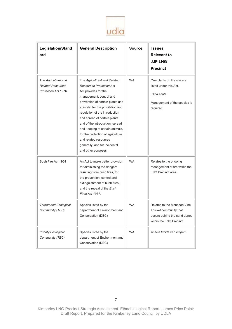

| <b>Legislation/Stand</b><br>ard                                         | <b>General Description</b>                                                                                                                                                                                                                                                                                                                                                                                                                               | Source    | <b>Issues</b><br><b>Relevant to</b><br><b>JJP LNG</b><br><b>Precinct</b>                                          |
|-------------------------------------------------------------------------|----------------------------------------------------------------------------------------------------------------------------------------------------------------------------------------------------------------------------------------------------------------------------------------------------------------------------------------------------------------------------------------------------------------------------------------------------------|-----------|-------------------------------------------------------------------------------------------------------------------|
| The Agriculture and<br><b>Related Resources</b><br>Protection Act 1976. | The Agricultural and Related<br><b>Resources Protection Act</b><br>Act provides for the<br>management, control and<br>prevention of certain plants and<br>animals, for the prohibition and<br>regulation of the introduction<br>and spread of certain plants<br>and of the introduction, spread<br>and keeping of certain animals,<br>for the protection of agriculture<br>and related resources<br>generally, and for incidental<br>and other purposes. | <b>WA</b> | One plants on the site are<br>listed under this Act.<br>Sida acuta<br>Management of the species is<br>required.   |
| Bush Fire Act 1954                                                      | An Act to make better provision<br>for diminishing the dangers<br>resulting from bush fires, for<br>the prevention, control and<br>extinguishment of bush fires,<br>and the repeal of the Bush<br>Fires Act 1937.                                                                                                                                                                                                                                        | <b>WA</b> | Relates to the ongoing<br>management of fire within the<br>LNG Precinct area.                                     |
| <b>Threatened Ecological</b><br>Community (TEC)                         | Species listed by the<br>department of Environment and<br>Conservation (DEC)                                                                                                                                                                                                                                                                                                                                                                             | <b>WA</b> | Relates to the Monsoon Vine<br>Thicket community that<br>occurs behind the sand dunes<br>within the LNG Precinct. |
| <b>Priority Ecological</b><br>Community (TEC)                           | Species listed by the<br>department of Environment and<br>Conservation (DEC)                                                                                                                                                                                                                                                                                                                                                                             | <b>WA</b> | Acacia timida var. kulparn                                                                                        |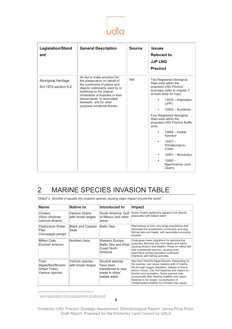

| <b>Legislation/Stand</b><br>ard             | <b>General Description</b>                                                                                                                                                                                                                                                                   | <b>Source</b> | <b>Issues</b><br><b>Relevant to</b><br><b>JJP LNG</b><br><b>Precinct</b>                                                                                                                                                                                                                                                                                                                                                                                       |
|---------------------------------------------|----------------------------------------------------------------------------------------------------------------------------------------------------------------------------------------------------------------------------------------------------------------------------------------------|---------------|----------------------------------------------------------------------------------------------------------------------------------------------------------------------------------------------------------------------------------------------------------------------------------------------------------------------------------------------------------------------------------------------------------------------------------------------------------------|
| Aboriginal Heritage<br>Act 1972-section 5.6 | An Act to make provision for<br>the preservation on behalf of<br>the community of places and<br>objects customarily used by or<br>traditional to the original<br>inhabitants of Australia or their<br>descendants, or associated<br>therewith, and for other<br>purposes incidental thereto. | <b>WA</b>     | Two Registered Aboriginal<br>Sites exist within the<br>proposed LNG Precinct<br>boundary (refer to chapter 3<br>of main body for map)<br>13076 - Walmadan<br>٠<br>(JPP)<br>12902 - Kundandu<br>٠<br>Four Registered Aboriginal<br>Sites exist within the<br>proposed LNG Precinct Buffer<br>zone<br>$12684 - Inbalal$<br>٠<br>Kannbor<br>$12427 -$<br>٠<br>Pidirakundjunu<br>Creek-<br>12901 - Murrdudun<br>٠<br>$12900 -$<br>٠<br>Ngarrimarran Juno<br>Quarry |

### 2 MARINE SPECIES INVASION TABLE

|  | TABLE 2 Shortlist of aquatic bio-invasion species causing major impact around the world. |
|--|------------------------------------------------------------------------------------------|
|  |                                                                                          |

| <b>Name</b>                                                         | <b>Native to</b>                     | Introduced to                                                                          | Impact                                                                                                                                                                                                                                                                                                                                                                                  |
|---------------------------------------------------------------------|--------------------------------------|----------------------------------------------------------------------------------------|-----------------------------------------------------------------------------------------------------------------------------------------------------------------------------------------------------------------------------------------------------------------------------------------------------------------------------------------------------------------------------------------|
| Cholera<br>Vibrio cholerae<br>(various strains)                     | Various strains<br>with broad ranges | South America, Gulf<br>of Mexico and other<br>lareas                                   | Some cholera epidemics appear to be directly<br>associated with ballast water                                                                                                                                                                                                                                                                                                           |
| Cladoceran Water<br>Flea<br>Cercopagis pengoi                       | <b>Black and Caspian</b><br>Seas     | Baltic Sea                                                                             | Reproduces to form very large populations that<br>dominate the zooplankton community and clog<br>fishing nets and trawls, with associated economic<br>impacts                                                                                                                                                                                                                           |
| Mitten Crab<br>Eiocheir sinensis                                    | Northern Asia                        | Western Europe,<br><b>Baltic Sea and West</b><br>Coast North<br><b>America</b>         | Undergoes mass migrations for reproductive<br>purposes. Burrows into river banks and dykes<br>causing erosion and siltation. Preys on native fish<br>and invertebrate species, causing local<br>extinctions during population outbreaks.<br>Interferes with fishing activities                                                                                                          |
| <b>Toxic</b><br>Algae(Red/Brown/<br>Green Tides)<br>Various species | Various species<br>with broad ranges | Several species<br>have been<br>transferred to new<br>areas in ships'<br>ballast water | May form Harmful Algae Blooms. Depending on<br>the species, can cause massive kills of marine<br>life through oxygen depletion, release of toxins<br>and/or mucus. Can foul beaches and impact on<br>tourism and recreation. Some species may<br>contaminate filter-feeding shellfish and cause<br>fisheries to be closed. Consumption of<br>contaminated shellfish by humans may cause |

1 www.globallast.imo.org/poster4\_english.pdf

Kimberley LNG Precinct Strategic Assessment. Ethnobiological Report: James Price Point: Draft Report. Prepared for the Kimberley Land Council by UDLA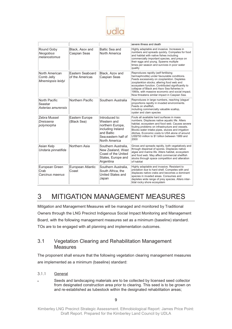

|                                                   |                                     |                                                                                                                              | severe illness and death                                                                                                                                                                                                                                                                                                                                                             |
|---------------------------------------------------|-------------------------------------|------------------------------------------------------------------------------------------------------------------------------|--------------------------------------------------------------------------------------------------------------------------------------------------------------------------------------------------------------------------------------------------------------------------------------------------------------------------------------------------------------------------------------|
| Round Goby<br>Neogobius<br>melanostomus           | Black, Asov and<br>Caspian Seas     | Baltic Sea and<br>North America                                                                                              | Highly adaptable and invasive. Increases in<br>numbers and spreads quickly. Competes for food<br>and habitat with native fishes including<br>commercially important species, and preys on<br>their eggs and young. Spawns multiple<br>times per season and survives in poor water<br>quality                                                                                         |
| North American<br>Comb Jelly<br>Mnemiopsis leidyi | Eastern Seaboard<br>of the Americas | Black. Azov and<br>Caspian Seas                                                                                              | Reproduces rapidly (self fertilising<br>hermaphrodite) under favourable conditions.<br>Feeds excessively on zooplankton. Depletes<br>zooplankton stocks; altering food web and<br>ecosystem function. Contributed significantly to<br>collapse of Black and Asov Sea fisheries in<br>1990s, with massive economic and social impact.<br>Now threatens similar impact in Caspian Sea. |
| North Pacific<br>Seastar<br>Asterias amurensis    | Northern Pacific                    | Southern Australia                                                                                                           | Reproduces in large numbers, reaching 'plague'<br>proportions rapidly in invaded environments.<br>Feeds on shellfish,<br>including commercially valuable scallop,<br>oyster and clam species                                                                                                                                                                                         |
| Zebra Mussel<br>Dreissena<br>polymorpha           | Eastern Europe<br>(Black Sea)       | Introduced to:<br>Western and<br>northern Europe,<br>including Ireland<br>and Baltic<br>Sea;eastern half of<br>North America | Fouls all available hard surfaces in mass<br>numbers. Displaces native aquatic life. Alters<br>habitat, ecosystem and food web. Causes severe<br>fouling problems on infrastructure and vessels.<br>Blocks water intake pipes, sluices and irrigation<br>ditches. Economic costs to USA alone of around<br>US\$750 million to \$1 billion between 1989 and<br>2000                   |
| Asian Kelp<br>Undaria pinnatifida                 | Northern Asia                       | Southern Australia,<br>New Zealand, West<br>Coast of the United<br>States, Europe and<br>Argentina                           | Grows and spreads rapidly, both vegetatively and<br>through dispersal of spores. Displaces native<br>algae and marine life. Alters habitat, ecosystem<br>and food web. May affect commercial shellfish<br>stocks through space competition and alteration<br>of habitat                                                                                                              |
| European Green<br>Crab<br>Carcinus maenus         | European Atlantic<br>Coast          | Southern Australia.<br>South Africa, the<br>United States and<br>Japan                                                       | Highly adaptable and invasive. Resistant to<br>predation due to hard shell. Competes with and<br>displaces native crabs and becomes a dominant<br>species in invaded areas. Consumes and<br>depletes wide range of prey species. Alters inter-<br>tidal rocky shore ecosystem                                                                                                        |

### 3 MITIGATION MANAGEMENT MEASURES

Mitigation and Management Measures will be managed and monitored by Traditional Owners through the LNG Precinct Indigenous Social Impact Monitoring and Management Board, with the following management measures set as a minimum (baseline) standard. TOs are to be engaged with all planning and implementation outcomes.

#### 3.1 Vegetation Clearing and Rehabilitation Management **Measures**

The proponent shall ensure that the following vegetation clearing management measures are implemented as a minimum (baseline) standard:

3.1.1 General

-

 Seeds and landscaping materials are to be collected by licensed seed collector from designated construction area prior to clearing. This seed is to be grown on and re-established as tubestock within the designated rehabilitation areas;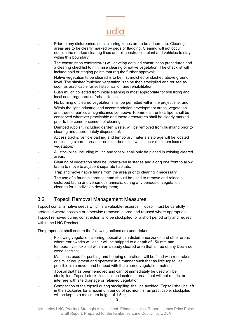

- - Prior to any disturbance, strict clearing zones are to be adhered to. Clearing areas are to be clearly marked by pegs or flagging. Clearing will not occur outside the marked clearing lines and all construction plant and vehicles to stay within this boundary;
- - The construction contractor(s) will develop detailed construction procedures and a clearing checklist to minimise clearing of native vegetation. The checklist will include hold or staging points that require further approval;
- - Native vegetation to be cleared is to be first mulched or slashed above ground level. The slashed/mulched vegetation is to be then stockpiled and reused as soon as practicable for soil stabilisation and rehabilitation.
- - Bush mulch collected from initial slashing is most appropriate for soil fixing and local seed regeneration/rehabilitation.
- -No burning of cleared vegetation shall be permitted within the project site; and,
- - Within the light industrial and accommodation development areas, vegetation and trees of particular significance i.e. above 100mm dia trunk calliper shall be conserved wherever practicable and these areas/trees shall be clearly marked prior to the commencement of clearing;
- - Dumped rubbish, including garden waste, will be removed from bushland prior to clearing and appropriately disposed of;
- - Access tracks, vehicle parking and temporary materials storage will be located on existing cleared areas or on disturbed sites which incur minimum loss of vegetation;
- - All stockpiles, including mulch and topsoil shall only be placed in existing cleared areas;
- - Clearing of vegetation shall be undertaken in stages and along one front to allow fauna to move to adjacent separate habitats;
- -Trap and move native fauna from the area prior to clearing if necessary;
- - The use of a fauna clearance team should be used to remove and relocate disturbed fauna and venomous animals, during any periods of vegetation clearing for subdivision development;

#### 3.2 Topsoil Removal Management Measures

Topsoil contains native seeds which is a valuable resource. Topsoil must be carefully protected where possible or otherwise removed, stored and re-used where appropriate. Topsoil removed during construction is to be stockpiled for a short period only and reused within the LNG Precinct.

The proponent shall ensure the following actions are undertaken:

- - Following vegetation clearing, topsoil within disturbance zones and other areas where earthworks will occur will be stripped to a depth of 150 mm and temporarily stockpiled within an already cleared area that is free of any Declared weed species;
- - Machines used for pushing and heaping operations will be fitted with root rakes or similar equipment and operated in a manner such that as little topsoil as possible is removed and heaped with the cleared vegetation material;
- - Topsoil that has been removed and cannot immediately be used will be stockpiled. Topsoil stockpiles shall be located in areas that will not restrict or interfere with site drainage or retained vegetation;
- - Compaction of the topsoil during stockpiling shall be avoided. Topsoil shall be left in the stockpiles for a maximum period of six months, as practicable, stockpiles will be kept to a maximum height of 1.5m;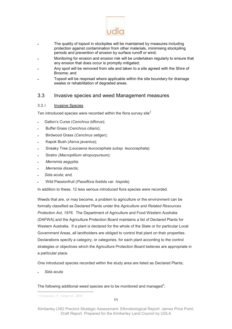

- - The quality of topsoil in stockpiles will be maintained by measures including protection against contamination from other materials, minimising stockpiling periods and prevention of erosion by surface runoff or wind;
- - Monitoring for erosion and erosion risk will be undertaken regularly to ensure that any erosion that does occur is promptly mitigated;
- - Any spoil will be removed from site and taken to a site agreed with the Shire of Broome; and
- - Topsoil will be respread where applicable within the site boundary for drainage swales or rehabilitation of degraded areas.

#### 3.3 Invasive species and weed Management measures

#### 3.3.1 Invasive Species

Ten introduced species were recorded within the flora survey site $2$ 

- -Gallon's Curse (*Cenchrus biflorus*);
- -Buffel Grass (*Cenchrus ciliaris*);
- -Birdwood Grass (*Cenchrus setiger*);
- -Kapok Bush (*Aerva javanica*);
- -Sneaky Tree (*Leucaena leucocephala subsp. leucocephala);*
- -Siratro *(Macroptilium atropurpureum);*
- -*Merremia aegyptia;*
- -*Merremia dissecta;*
- -*Sida acuta; and,*
- -Wild Passionfruit (*Passiflora foetida var. hispida*).

In addition to these, 12 less serious introduced flora species were recorded*.*

Weeds that are, or may become, a problem to agriculture or the environment can be formally classified as Declared Plants under the *Agriculture and Related Resources Protection Act, 1976*. The Department of Agriculture and Food Western Australia (DAFWA) and the Agriculture Protection Board maintains a list of Declared Plants for Western Australia. If a plant is declared for the whole of the State or for particular Local Government Areas, all landholders are obliged to control that plant on their properties. Declarations specify a category, or categories, for each plant according to the control strategies or objectives which the Agriculture Protection Board believes are appropriate in a particular place.

One introduced species recorded within the study area are listed as Declared Plants;

-*Sida acuta*

The following additional weed species are to be monitored and managed<sup>3</sup>;

Kimberley LNG Precinct Strategic Assessment. Ethnobiological Report: James Price Point: Draft Report. Prepared for the Kimberley Land Council by UDLA

<sup>2</sup> Chukowry, P., Maier M., 2009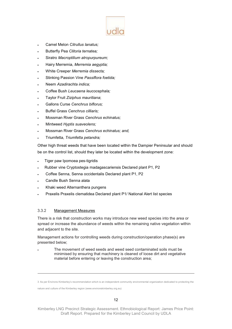- -Camel Melon *Citrullus lanatus;*
- -Butterfly Pea *Clitoria ternatea;*
- -Siratro *Macroptilium atropurpureum;*
- -Hairy Merremia, *Merremia aegyptia;*
- -White Creeper *Merremia dissecta;*
- -Stinking Passion Vine *Passiflora foetida;*
- -Neem *Azadirachta indica;*
- -Coffee Bush *Leucaena leucocephala;*
- -Taylor Fruit *Ziziphus mauritiana*;
- -Gallons Curse *Cenchrus biflorus;*
- -Buffel Grass *Cenchrus cilliaris;*
- -Mossman River Grass *Cenchrus echinatus;*
- -Mintweed *Hyptis suaveolens;*
- -Mossman River Grass *Cenchrus echinatus; and,*
- -Triumfetta, *Triumfetta petandra;*

Other high threat weeds that have been located within the Dampier Peninsular and should be on the control list, should they later be located within the development zone:

- -Tiger paw Ipomoea pes-tigridis
- -Rubber vine Cryptostegia madagascariensis Declared plant P1, P2
- -Coffee Senna, Senna occidentalis Declared plant P1, P2
- -Candle Bush Senna alata
- -Khaki weed Alternanthera pungens
- -Praxelis Praxelis clematidea Declared plant P1/ National Alert list species

#### 3.3.2 Management Measures

There is a risk that construction works may introduce new weed species into the area or spread or increase the abundance of weeds within the remaining native vegetation within and adjacent to the site.

Management actions for controlling weeds during construction/operation phase(s) are presented below;

- The movement of weed seeds and weed seed contaminated soils must be minimised by ensuring that machinery is cleaned of loose dirt and vegetative material before entering or leaving the construction area;

nature and culture of the Kimberley region (www.environskimberley.org.au)

Kimberley LNG Precinct Strategic Assessment. Ethnobiological Report: James Price Point: Draft Report. Prepared for the Kimberley Land Council by UDLA

<sup>3</sup> As per Environs Kimberley's recommendation which is an independent community environmental organization dedicated to protecting the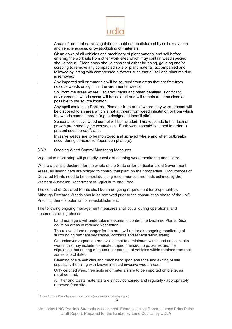

- - Areas of remnant native vegetation should not be disturbed by soil excavation and vehicle access, or by stockpiling of materials;
- - Clean down of all vehicles and machinery of plant material and soil before entering the work site from other work sites which may contain weed species should occur. Clean down should consist of either brushing, gouging and/or scraping to remove any compacted soils or plant material, accompanied and followed by jetting with compressed air/water such that all soil and plant residue is removed;
- - Any imported soil or materials will be sourced from areas that are free from noxious weeds or significant environmental weeds;
- -Soil from the areas where Declared Plants and other identified, significant, environmental weeds occur will be isolated and will remain at, or as close as possible to the source location;
- - Any spoil containing Declared Plants or from areas where they were present will be disposed to an area which is not at threat from weed infestation or from which the weeds cannot spread (e.g. a designated landfill site);
- - Seasonal selective weed control will be included. This responds to the flush of growth promoted by the wet season. Earth works should be timed in order to prevent seed spread<sup>4</sup>; and,
- - Invasive weeds are to be monitored and sprayed where and when outbreaks occur during construction/operation phase(s).

#### 3.3.3 Ongoing Weed Control Monitoring Measures.

Vegetation monitoring will primarily consist of ongoing weed monitoring and control.

Where a plant is declared for the whole of the State or for particular Local Government Areas, all landholders are obliged to control that plant on their properties. Occurrences of Declared Plants need to be controlled using recommended methods outlined by the Western Australian Department of Agriculture and Food.

The control of Declared Plants shall be an on-going requirement for proponent(s). Although Declared Weeds should be removed prior to the construction phase of the LNG Precinct, there is potential for re-establishment.

The following ongoing management measures shall occur during operational and decommissioning phases;

- - Land managers will undertake measures to control the Declared Plants, *Sida acuta* on areas of retained vegetation;
- - The relevant land manager for the area will undertake ongoing monitoring of surrounding remnant vegetation, corridors and rehabilitation areas;
- - Groundcover vegetation removal is kept to a minimum within and adjacent site works, this may include nominated taped / fenced no go zones and the stipulation that storing of material or parking of vehicles within retained tree root zones is prohibited;
- - Cleaning of site vehicles and machinery upon entrance and exiting of site especially if dealing with known infested invasive weed areas;
- - Only certified weed free soils and materials are to be imported onto site, as required; and,
- - All litter and waste materials are strictly contained and regularly / appropriately removed from site.

<sup>4</sup> As per Environs Kimberley's recommendations (www.environskimberley.org.au)